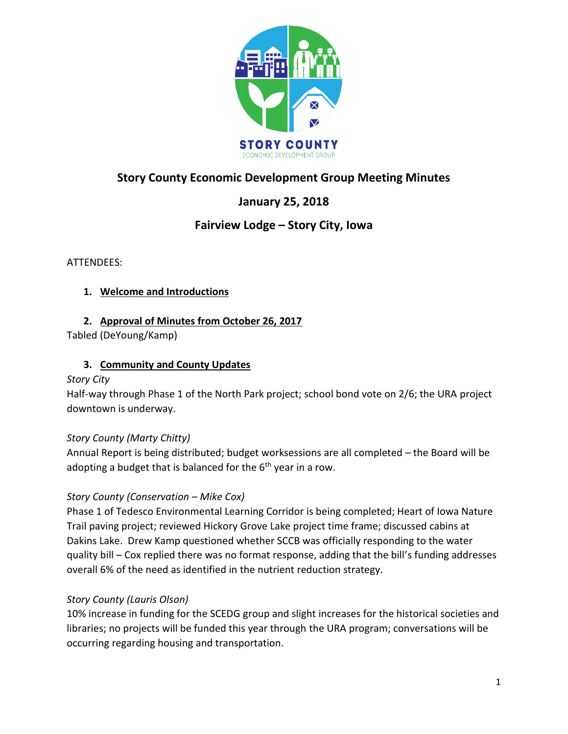

# **Story County Economic Development Group Meeting Minutes**

# **January 25, 2018**

## **Fairview Lodge – Story City, Iowa**

ATTENDEES:

#### **1. Welcome and Introductions**

### **2. Approval of Minutes from October 26, 2017**

Tabled (DeYoung/Kamp)

### **3. Community and County Updates**

#### *Story City*

Half-way through Phase 1 of the North Park project; school bond vote on 2/6; the URA project downtown is underway.

#### *Story County (Marty Chitty)*

Annual Report is being distributed; budget worksessions are all completed – the Board will be adopting a budget that is balanced for the  $6<sup>th</sup>$  year in a row.

## *Story County (Conservation – Mike Cox)*

Phase 1 of Tedesco Environmental Learning Corridor is being completed; Heart of Iowa Nature Trail paving project; reviewed Hickory Grove Lake project time frame; discussed cabins at Dakins Lake. Drew Kamp questioned whether SCCB was officially responding to the water quality bill – Cox replied there was no format response, adding that the bill's funding addresses overall 6% of the need as identified in the nutrient reduction strategy.

#### *Story County (Lauris Olson)*

10% increase in funding for the SCEDG group and slight increases for the historical societies and libraries; no projects will be funded this year through the URA program; conversations will be occurring regarding housing and transportation.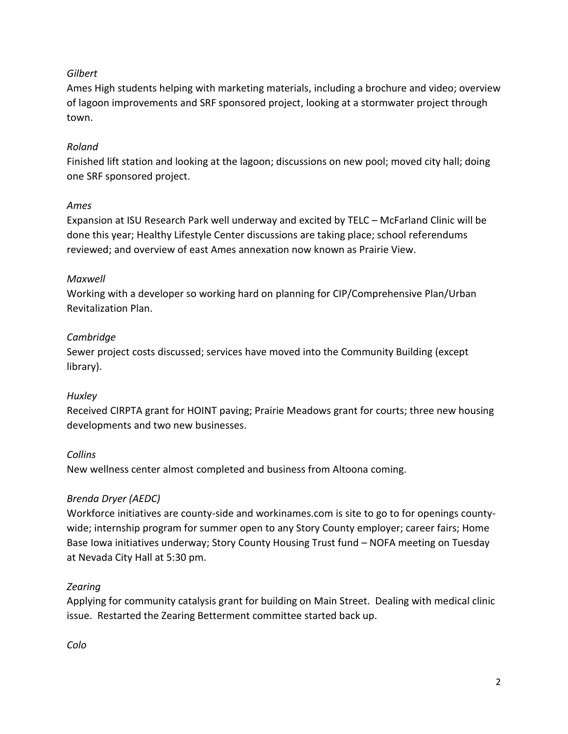#### *Gilbert*

Ames High students helping with marketing materials, including a brochure and video; overview of lagoon improvements and SRF sponsored project, looking at a stormwater project through town.

### *Roland*

Finished lift station and looking at the lagoon; discussions on new pool; moved city hall; doing one SRF sponsored project.

### *Ames*

Expansion at ISU Research Park well underway and excited by TELC – McFarland Clinic will be done this year; Healthy Lifestyle Center discussions are taking place; school referendums reviewed; and overview of east Ames annexation now known as Prairie View.

#### *Maxwell*

Working with a developer so working hard on planning for CIP/Comprehensive Plan/Urban Revitalization Plan.

## *Cambridge*

Sewer project costs discussed; services have moved into the Community Building (except library).

#### *Huxley*

Received CIRPTA grant for HOINT paving; Prairie Meadows grant for courts; three new housing developments and two new businesses.

## *Collins*

New wellness center almost completed and business from Altoona coming.

## *Brenda Dryer (AEDC)*

Workforce initiatives are county-side and workinames.com is site to go to for openings countywide; internship program for summer open to any Story County employer; career fairs; Home Base Iowa initiatives underway; Story County Housing Trust fund – NOFA meeting on Tuesday at Nevada City Hall at 5:30 pm.

## *Zearing*

Applying for community catalysis grant for building on Main Street. Dealing with medical clinic issue. Restarted the Zearing Betterment committee started back up.

*Colo*